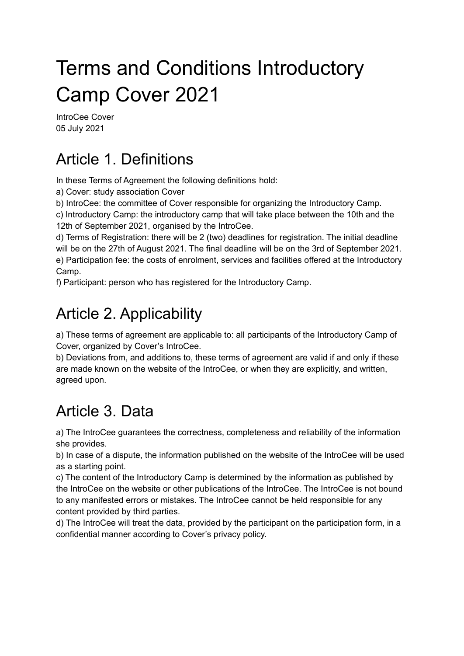# Terms and Conditions Introductory Camp Cover 2021

IntroCee Cover 05 July 2021

### Article 1. Definitions

In these Terms of Agreement the following definitions hold:

a) Cover: study association Cover

b) IntroCee: the committee of Cover responsible for organizing the Introductory Camp.

c) Introductory Camp: the introductory camp that will take place between the 10th and the 12th of September 2021, organised by the IntroCee.

d) Terms of Registration: there will be 2 (two) deadlines for registration. The initial deadline will be on the 27th of August 2021. The final deadline will be on the 3rd of September 2021. e) Participation fee: the costs of enrolment, services and facilities offered at the Introductory Camp.

f) Participant: person who has registered for the Introductory Camp.

### Article 2. Applicability

a) These terms of agreement are applicable to: all participants of the Introductory Camp of Cover, organized by Cover's IntroCee.

b) Deviations from, and additions to, these terms of agreement are valid if and only if these are made known on the website of the IntroCee, or when they are explicitly, and written, agreed upon.

# Article 3. Data

a) The IntroCee guarantees the correctness, completeness and reliability of the information she provides.

b) In case of a dispute, the information published on the website of the IntroCee will be used as a starting point.

c) The content of the Introductory Camp is determined by the information as published by the IntroCee on the website or other publications of the IntroCee. The IntroCee is not bound to any manifested errors or mistakes. The IntroCee cannot be held responsible for any content provided by third parties.

d) The IntroCee will treat the data, provided by the participant on the participation form, in a confidential manner according to Cover's privacy policy.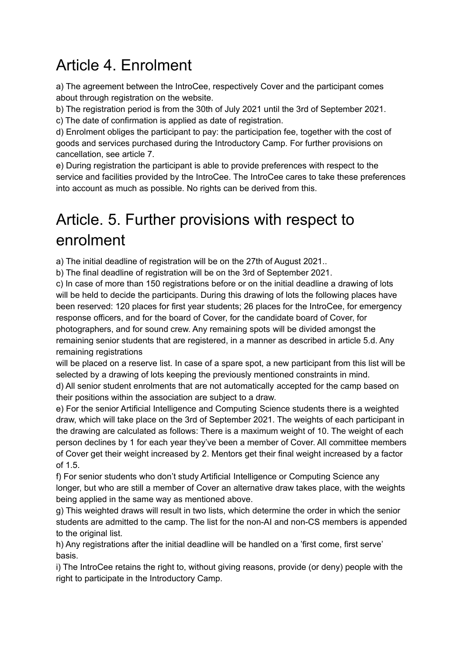## Article 4. Enrolment

a) The agreement between the IntroCee, respectively Cover and the participant comes about through registration on the website.

b) The registration period is from the 30th of July 2021 until the 3rd of September 2021. c) The date of confirmation is applied as date of registration.

d) Enrolment obliges the participant to pay: the participation fee, together with the cost of goods and services purchased during the Introductory Camp. For further provisions on cancellation, see article 7.

e) During registration the participant is able to provide preferences with respect to the service and facilities provided by the IntroCee. The IntroCee cares to take these preferences into account as much as possible. No rights can be derived from this.

#### Article. 5. Further provisions with respect to enrolment

a) The initial deadline of registration will be on the 27th of August 2021..

b) The final deadline of registration will be on the 3rd of September 2021.

c) In case of more than 150 registrations before or on the initial deadline a drawing of lots will be held to decide the participants. During this drawing of lots the following places have been reserved: 120 places for first year students; 26 places for the IntroCee, for emergency response officers, and for the board of Cover, for the candidate board of Cover, for photographers, and for sound crew. Any remaining spots will be divided amongst the remaining senior students that are registered, in a manner as described in article 5.d. Any remaining registrations

will be placed on a reserve list. In case of a spare spot, a new participant from this list will be selected by a drawing of lots keeping the previously mentioned constraints in mind.

d) All senior student enrolments that are not automatically accepted for the camp based on their positions within the association are subject to a draw.

e) For the senior Artificial Intelligence and Computing Science students there is a weighted draw, which will take place on the 3rd of September 2021. The weights of each participant in the drawing are calculated as follows: There is a maximum weight of 10. The weight of each person declines by 1 for each year they've been a member of Cover. All committee members of Cover get their weight increased by 2. Mentors get their final weight increased by a factor of 1.5.

f) For senior students who don't study Artificial Intelligence or Computing Science any longer, but who are still a member of Cover an alternative draw takes place, with the weights being applied in the same way as mentioned above.

g) This weighted draws will result in two lists, which determine the order in which the senior students are admitted to the camp. The list for the non-AI and non-CS members is appended to the original list.

h) Any registrations after the initial deadline will be handled on a 'first come, first serve' basis.

i) The IntroCee retains the right to, without giving reasons, provide (or deny) people with the right to participate in the Introductory Camp.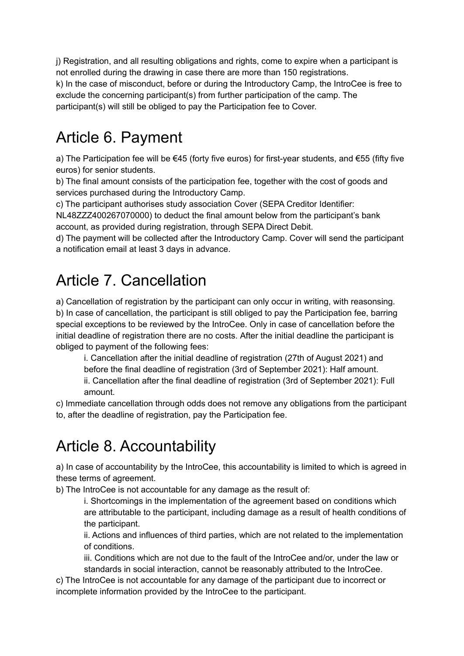j) Registration, and all resulting obligations and rights, come to expire when a participant is not enrolled during the drawing in case there are more than 150 registrations. k) In the case of misconduct, before or during the Introductory Camp, the IntroCee is free to exclude the concerning participant(s) from further participation of the camp. The participant(s) will still be obliged to pay the Participation fee to Cover.

# Article 6. Payment

a) The Participation fee will be €45 (forty five euros) for first-year students, and €55 (fifty five euros) for senior students.

b) The final amount consists of the participation fee, together with the cost of goods and services purchased during the Introductory Camp.

c) The participant authorises study association Cover (SEPA Creditor Identifier:

NL48ZZZ400267070000) to deduct the final amount below from the participant's bank account, as provided during registration, through SEPA Direct Debit.

d) The payment will be collected after the Introductory Camp. Cover will send the participant a notification email at least 3 days in advance.

# Article 7. Cancellation

a) Cancellation of registration by the participant can only occur in writing, with reasonsing. b) In case of cancellation, the participant is still obliged to pay the Participation fee, barring special exceptions to be reviewed by the IntroCee. Only in case of cancellation before the initial deadline of registration there are no costs. After the initial deadline the participant is obliged to payment of the following fees:

i. Cancellation after the initial deadline of registration (27th of August 2021) and before the final deadline of registration (3rd of September 2021): Half amount.

ii. Cancellation after the final deadline of registration (3rd of September 2021): Full amount.

c) Immediate cancellation through odds does not remove any obligations from the participant to, after the deadline of registration, pay the Participation fee.

### Article 8. Accountability

a) In case of accountability by the IntroCee, this accountability is limited to which is agreed in these terms of agreement.

b) The IntroCee is not accountable for any damage as the result of:

i. Shortcomings in the implementation of the agreement based on conditions which are attributable to the participant, including damage as a result of health conditions of the participant.

ii. Actions and influences of third parties, which are not related to the implementation of conditions.

iii. Conditions which are not due to the fault of the IntroCee and/or, under the law or standards in social interaction, cannot be reasonably attributed to the IntroCee.

c) The IntroCee is not accountable for any damage of the participant due to incorrect or incomplete information provided by the IntroCee to the participant.